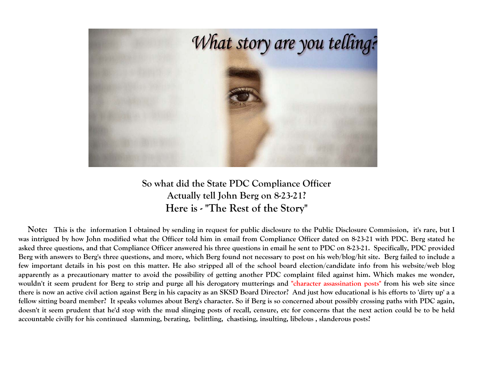

**So what did the State PDC Compliance Officer Actually tell John Berg on 8-23-21? Here is - "The Rest of the Story"** 

**Note: This is the information I obtained by sending in request for public disclosure to the Public Disclosure Commission, it's rare, but I was intrigued by how John modified what the Officer told him in email from Compliance Officer dated on 8-23-21 with PDC. Berg stated he asked three questions, and that Compliance Officer answered his three questions in email he sent to PDC on 8-23-21. Specifically, PDC provided Berg with answers to Berg's three questions, and more, which Berg found not necessary to post on his web/blog/hit site. Berg failed to include a few important details in his post on this matter. He also stripped all of the school board election/candidate info from his website/web blog apparently as a precautionary matter to avoid the possibility of getting another PDC complaint filed against him. Which makes me wonder, wouldn't it seem prudent for Berg to strip and purge all his derogatory mutterings and "character assassination posts" from his web site since there is now an active civil action against Berg in his capacity as an SKSD Board Director? And just how educational is his efforts to 'dirty up' a a fellow sitting board member? It speaks volumes about Berg's character. So if Berg is so concerned about possibly crossing paths with PDC again, doesn't it seem prudent that he'd stop with the mud slinging posts of recall, censure, etc for concerns that the next action could be to be held accountable civilly for his continued slamming, berating, belittling, chastising, insulting, libelous , slanderous posts?**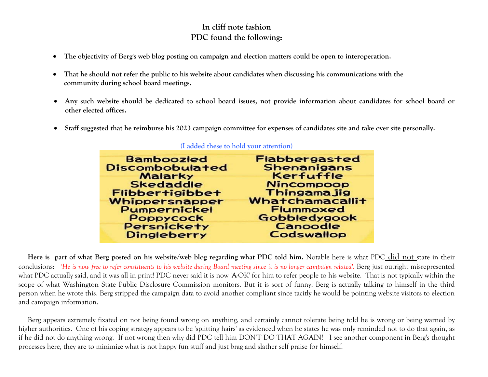## **In cliff note fashion PDC found the following:**

- . **The objectivity of Berg's web blog posting on campaign and election matters could be open to interoperation.**
- $\bullet$  **That he should not refer the public to his website about candidates when discussing his communications with the community during school board meetings.**
- $\bullet$  **Any such website should be dedicated to school board issues, not provide information about candidates for school board or other elected offices.**
- $\bullet$ **Staff suggested that he reimburse his 2023 campaign committee for expenses of candidates site and take over site personally.**

| <b>Bamboozled</b>      | <b>Flabbergasted</b>   |
|------------------------|------------------------|
| <b>Discombobulated</b> | <b>Shenanigans</b>     |
| <b>Malarky</b>         | Kerfuffle              |
| <b>Skedaddle</b>       | <b>Nincompoop</b>      |
| <b>Flibbertigibbet</b> | Thingamajig            |
| Whippersnapper         | <b>Whatchamacallit</b> |
| Pumpernickel           | <b>Flummoxed</b>       |
| Poppycock              | Gobbledygook           |
| <b>Persnickety</b>     | Canoodle               |
| Dingleberry            | <b>Codswallop</b>      |
|                        |                        |

## **(I added these to hold your attention)**

Here is part of what Berg posted on his website/web blog regarding what PDC told him. Notable here is what PDC did not state in their conclusions: *'He is now free to refer constituents to his website during Board meeting since it is no longer campaign related'*. Berg just outright misrepresented what PDC actually said, and it was all in print! PDC never said it is now 'A-OK' for him to refer people to his website. That is not typically within the scope of what Washington State Public Disclosure Commission monitors. But it is sort of funny, Berg is actually talking to himself in the third person when he wrote this. Berg stripped the campaign data to avoid another compliant since tacitly he would be pointing website visitors to election and campaign information.

 Berg appears extremely fixated on not being found wrong on anything, and certainly cannot tolerate being told he is wrong or being warned by higher authorities. One of his coping strategy appears to be 'splitting hairs' as evidenced when he states he was only reminded not to do that again, as if he did not do anything wrong. If not wrong then why did PDC tell him DON'T DO THAT AGAIN! I see another component in Berg's thought processes here, they are to minimize what is not happy fun stuff and just brag and slather self praise for himself.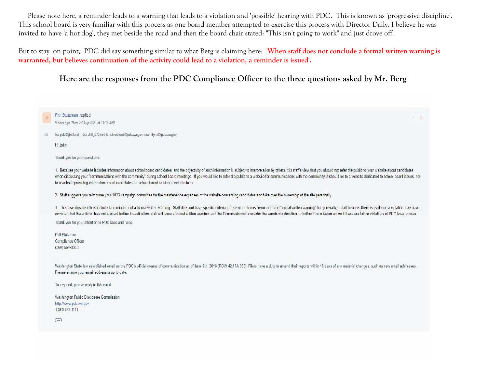Please note here, a reminder leads to a warning that leads to a violation and 'possible' hearing with PDC. This is known as 'progressive discipline'. This school board is very familiar with this process as one board member attempted to exercise this process with Director Daily. I believe he was invited to have 'a hot dog', they met beside the road and then the board chair stated: "This isn't going to work" and just drove off..

But to stay on point, PDC did say something similar to what Berg is claiming here: **'When staff does not conclude a formal written warning is warranted, but believes continuation of the activity could lead to a violation, a reminder is issued'.** 

## **Here are the responses from the PDC Compliance Officer to the three questions asked by Mr. Berg**

|   | Phil Stutzman replied<br>$\frac{1}{2}$ $\frac{1}{10}$                                                                                                                                                                                                                                                                                                                                                                                                                                                                                                             |
|---|-------------------------------------------------------------------------------------------------------------------------------------------------------------------------------------------------------------------------------------------------------------------------------------------------------------------------------------------------------------------------------------------------------------------------------------------------------------------------------------------------------------------------------------------------------------------|
|   | 9 days ago (Mon, 23 Aug 2021 at 11:19 AM)                                                                                                                                                                                                                                                                                                                                                                                                                                                                                                                         |
| M | To: pdc@jb70.net Cc: sk@jb70.net, kim.bradford@pdc.wa.gov, sean.flynn@pdc.wa.gov                                                                                                                                                                                                                                                                                                                                                                                                                                                                                  |
|   | Hi John.                                                                                                                                                                                                                                                                                                                                                                                                                                                                                                                                                          |
|   | Thank you for your questions.                                                                                                                                                                                                                                                                                                                                                                                                                                                                                                                                     |
|   | 1. Because your website includes information about school board candidates, and the objectivity of such information is subject to interpretation by others, it is staffs view that you should not refer the public to your web<br>when discussing your "communications with the community" during school board meetings. If you would like to refer the public to a website for communications with the community, it should be to a website dedicated to school<br>to a website providing information about candidates for school board or other elected offices |
|   | 2. Staff suggests you reimburse your 2023 campaign committee for the maintenance expenses of the website concerning candidates and take over the ownership of the site personally.                                                                                                                                                                                                                                                                                                                                                                                |
|   | 3. The case closure letters included a reminder, not a formal written warning. Staff does not have specific criteria for use of the terms "reminder" and "formal written warning" but generally, if staff believes there is ev<br>occurred but the activity does not warrant further investigation staff will issue a formal written warning and the Commission will consider the warning in deciding on further Commission action if there are future violation                                                                                                  |
|   | Thank you for your attention to PDC laws and rules.                                                                                                                                                                                                                                                                                                                                                                                                                                                                                                               |
|   | Phil Stutzman                                                                                                                                                                                                                                                                                                                                                                                                                                                                                                                                                     |
|   | Compliance Officer<br>$(360) 664 - 8853$                                                                                                                                                                                                                                                                                                                                                                                                                                                                                                                          |
|   |                                                                                                                                                                                                                                                                                                                                                                                                                                                                                                                                                                   |
|   | Washington State law established email as the PDC's official means of communication as of June 7th, 2018 (RCW 42.17A.055). Filers have a duty to amend their reports within 10 days of any material changes, such as new email                                                                                                                                                                                                                                                                                                                                    |
|   | Please ensure your email address is up to date.                                                                                                                                                                                                                                                                                                                                                                                                                                                                                                                   |
|   | To respond, please reply to this email.                                                                                                                                                                                                                                                                                                                                                                                                                                                                                                                           |
|   | Washington Public Disclosure Commission                                                                                                                                                                                                                                                                                                                                                                                                                                                                                                                           |
|   | http://www.pdc.wa.gov<br>1.360.753.1111                                                                                                                                                                                                                                                                                                                                                                                                                                                                                                                           |
|   | $\left( \overline{\cdots} \right)$                                                                                                                                                                                                                                                                                                                                                                                                                                                                                                                                |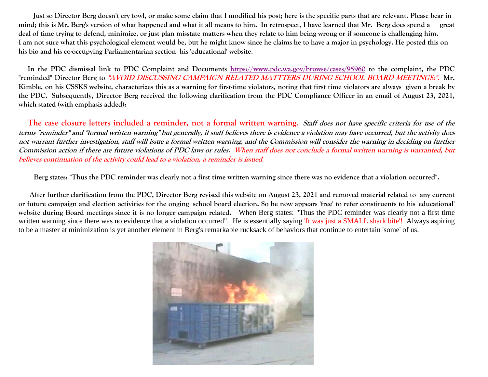**Just so Director Berg doesn't cry fowl, or make some claim that I modified his post; here is the specific parts that are relevant. Please bear in mind; this is Mr. Berg's version of what happened and what it all means to him. In retrospect, I have learned that Mr. Berg does spend a great deal of time trying to defend, minimize, or just plan misstate matters when they relate to him being wrong or if someone is challenging him. I am not sure what this psychological element would be, but he might know since he claims he to have a major in psychology. He posted this on his bio and his co-occupying Parliamentarian section his 'educational' website.** 

 **In the PDC dismissal link to PDC Complaint and Documents https://www.pdc.wa.gov/browse/cases/95960 to the complaint, the PDC "reminded" Director Berg to "AVOID DISCUSSING CAMPAIGN RELATED MATTTERS DURING SCHOOL BOARD MEETINGS:". Mr. Kimble, on his CSSKS website, characterizes this as a warning for first-time violators, noting that first time violators are always given a break by the PDC. Subsequently, Director Berg received the following clarification from the PDC Compliance Officer in an email of August 23, 2021, which stated (with emphasis added):** 

The case closure letters included a reminder, not a formal written warning. *Staff does not have specific criteria for use of the* **terms "reminder" and "formal written warning" but generally, if staff believes there is evidence a violation may have occurred, but the activity does not warrant further investigation, staff will issue a formal written warning, and the Commission will consider the warning in deciding on further Commission action if there are future violations of PDC laws or rules. When staff does not conclude a formal written warning is warranted, but believes continuation of the activity could lead to a violation, a reminder is issued***.*

**Berg states: "Thus the PDC reminder was clearly not a first time written warning since there was no evidence that a violation occurred".** 

 **After further clarification from the PDC, Director Berg revised this website on August 23, 2021 and removed material related to any current or future campaign and election activities for the onging school board election. So he now appears 'free' to refer constituents to his 'educational' website during Board meetings since it is no longer campaign related.** When Berg states: "Thus the PDC reminder was clearly not a first time written warning since there was no evidence that a violation occurred". He is essentially saying 'It was just a SMALL shark bite'! Always aspiring to be a master at minimization is yet another element in Berg's remarkable rucksack of behaviors that continue to entertain 'some' of us.